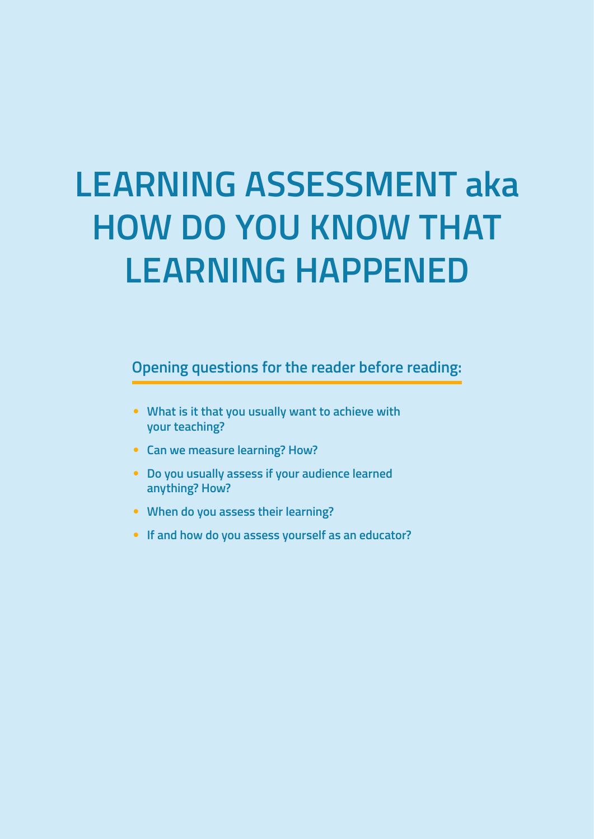# **LEARNING ASSESSMENT aka HOW DO YOU KNOW THAT LEARNING HAPPENED**

**Opening questions for the reader before reading:**

- **What is it that you usually want to achieve with your teaching?**
- **Can we measure learning? How?**
- **Do you usually assess if your audience learned anything? How?**
- **When do you assess their learning?**
- **If and how do you assess yourself as an educator?**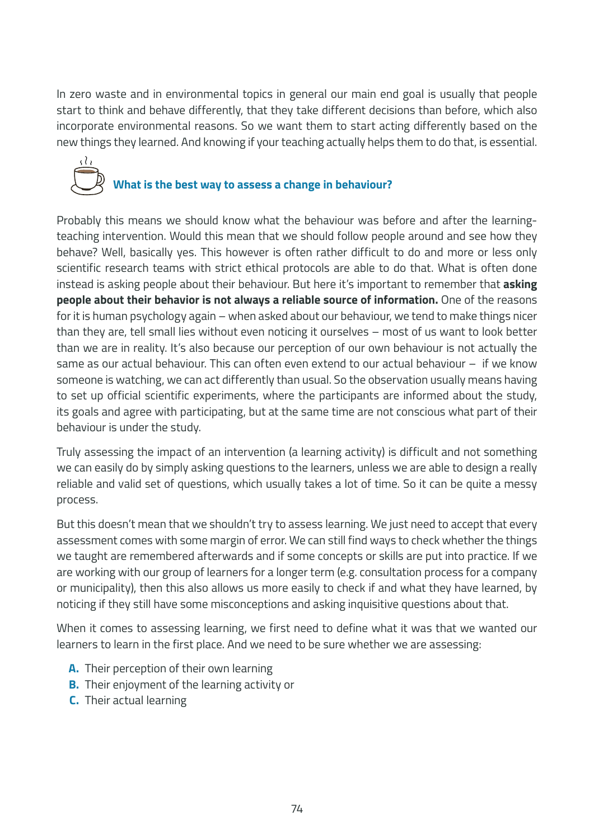In zero waste and in environmental topics in general our main end goal is usually that people start to think and behave differently, that they take different decisions than before, which also incorporate environmental reasons. So we want them to start acting differently based on the new things they learned. And knowing if your teaching actually helps them to do that, is essential.



Probably this means we should know what the behaviour was before and after the learningteaching intervention. Would this mean that we should follow people around and see how they behave? Well, basically yes. This however is often rather difficult to do and more or less only scientific research teams with strict ethical protocols are able to do that. What is often done instead is asking people about their behaviour. But here it's important to remember that **asking people about their behavior is not always a reliable source of information.** One of the reasons for it is human psychology again – when asked about our behaviour, we tend to make things nicer than they are, tell small lies without even noticing it ourselves – most of us want to look better than we are in reality. It's also because our perception of our own behaviour is not actually the same as our actual behaviour. This can often even extend to our actual behaviour – if we know someone is watching, we can act differently than usual. So the observation usually means having to set up official scientific experiments, where the participants are informed about the study, its goals and agree with participating, but at the same time are not conscious what part of their behaviour is under the study.

Truly assessing the impact of an intervention (a learning activity) is difficult and not something we can easily do by simply asking questions to the learners, unless we are able to design a really reliable and valid set of questions, which usually takes a lot of time. So it can be quite a messy process.

But this doesn't mean that we shouldn't try to assess learning. We just need to accept that every assessment comes with some margin of error. We can still find ways to check whether the things we taught are remembered afterwards and if some concepts or skills are put into practice. If we are working with our group of learners for a longer term (e.g. consultation process for a company or municipality), then this also allows us more easily to check if and what they have learned, by noticing if they still have some misconceptions and asking inquisitive questions about that.

When it comes to assessing learning, we first need to define what it was that we wanted our learners to learn in the first place. And we need to be sure whether we are assessing:

- **A.** Their perception of their own learning
- **B.** Their enjoyment of the learning activity or
- **C.** Their actual learning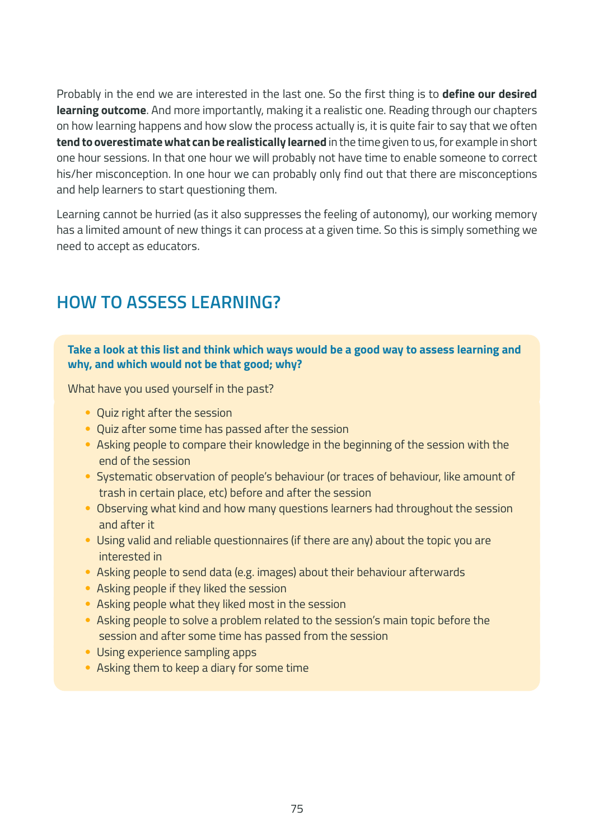Probably in the end we are interested in the last one. So the first thing is to **define our desired learning outcome**. And more importantly, making it a realistic one. Reading through our chapters on how learning happens and how slow the process actually is, it is quite fair to say that we often **tend to overestimate what can be realistically learned** in the time given to us, for example in short one hour sessions. In that one hour we will probably not have time to enable someone to correct his/her misconception. In one hour we can probably only find out that there are misconceptions and help learners to start questioning them.

Learning cannot be hurried (as it also suppresses the feeling of autonomy), our working memory has a limited amount of new things it can process at a given time. So this is simply something we need to accept as educators.

## **HOW TO ASSESS LEARNING?**

#### **Take a look at this list and think which ways would be a good way to assess learning and why, and which would not be that good; why?**

What have you used yourself in the past?

- Quiz right after the session
- Quiz after some time has passed after the session
- Asking people to compare their knowledge in the beginning of the session with the end of the session
- Systematic observation of people's behaviour (or traces of behaviour, like amount of trash in certain place, etc) before and after the session
- Observing what kind and how many questions learners had throughout the session and after it
- Using valid and reliable questionnaires (if there are any) about the topic you are interested in
- Asking people to send data (e.g. images) about their behaviour afterwards
- Asking people if they liked the session
- Asking people what they liked most in the session
- Asking people to solve a problem related to the session's main topic before the session and after some time has passed from the session
- Using experience sampling apps
- Asking them to keep a diary for some time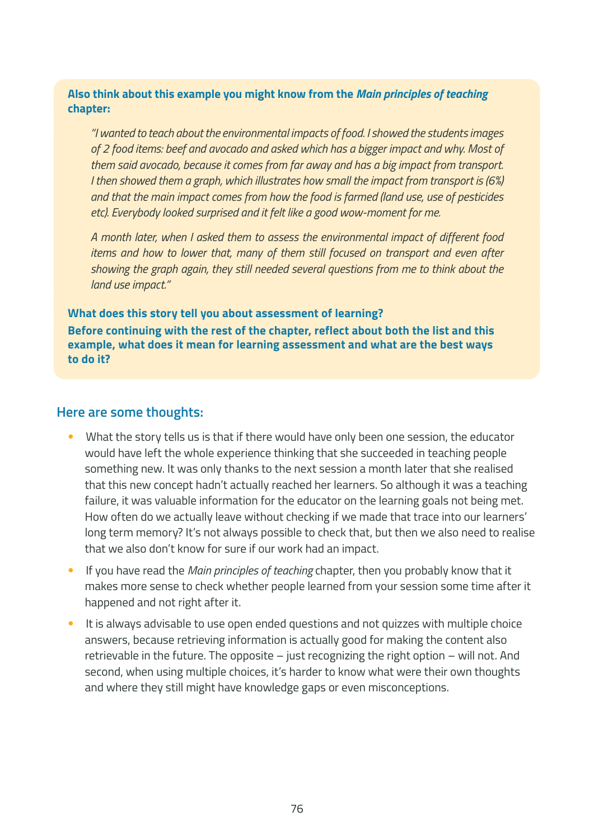#### **Also think about this example you might know from the** *Main principles of teaching* **chapter:**

*"I wanted to teach about the environmental impacts of food. I showed the students images of 2 food items: beef and avocado and asked which has a bigger impact and why. Most of them said avocado, because it comes from far away and has a big impact from transport. I then showed them a graph, which illustrates how small the impact from transport is (6%) and that the main impact comes from how the food is farmed (land use, use of pesticides etc). Everybody looked surprised and it felt like a good wow-moment for me.*

*A month later, when I asked them to assess the environmental impact of different food items and how to lower that, many of them still focused on transport and even after showing the graph again, they still needed several questions from me to think about the land use impact."*

#### **What does this story tell you about assessment of learning?**

**Before continuing with the rest of the chapter, reflect about both the list and this example, what does it mean for learning assessment and what are the best ways to do it?**

#### **Here are some thoughts:**

- What the story tells us is that if there would have only been one session, the educator would have left the whole experience thinking that she succeeded in teaching people something new. It was only thanks to the next session a month later that she realised that this new concept hadn't actually reached her learners. So although it was a teaching failure, it was valuable information for the educator on the learning goals not being met. How often do we actually leave without checking if we made that trace into our learners' long term memory? It's not always possible to check that, but then we also need to realise that we also don't know for sure if our work had an impact.
- If you have read the *Main principles of teaching* chapter, then you probably know that it makes more sense to check whether people learned from your session some time after it happened and not right after it.
- It is always advisable to use open ended questions and not quizzes with multiple choice answers, because retrieving information is actually good for making the content also retrievable in the future. The opposite – just recognizing the right option – will not. And second, when using multiple choices, it's harder to know what were their own thoughts and where they still might have knowledge gaps or even misconceptions.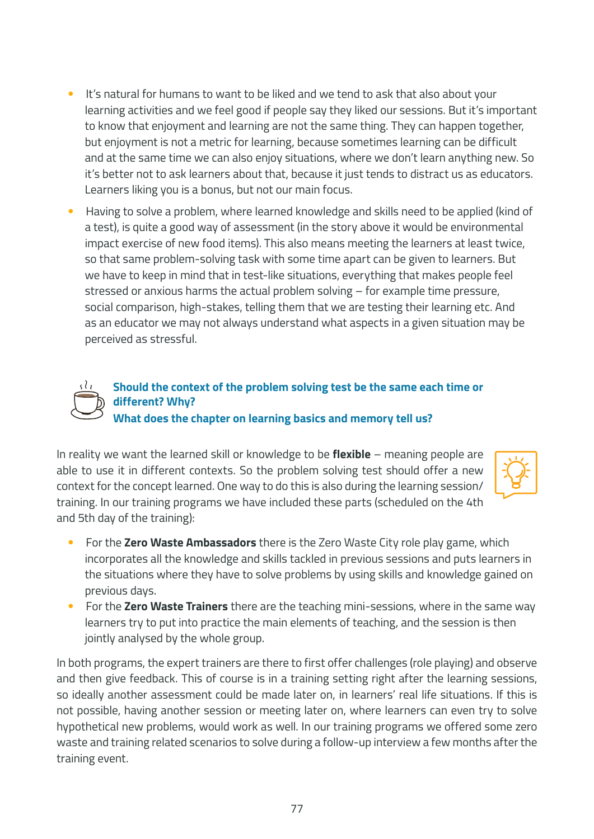- It's natural for humans to want to be liked and we tend to ask that also about your learning activities and we feel good if people say they liked our sessions. But it's important to know that enjoyment and learning are not the same thing. They can happen together, but enjoyment is not a metric for learning, because sometimes learning can be difficult and at the same time we can also enjoy situations, where we don't learn anything new. So it's better not to ask learners about that, because it just tends to distract us as educators. Learners liking you is a bonus, but not our main focus.
- Having to solve a problem, where learned knowledge and skills need to be applied (kind of a test), is quite a good way of assessment (in the story above it would be environmental impact exercise of new food items). This also means meeting the learners at least twice, so that same problem-solving task with some time apart can be given to learners. But we have to keep in mind that in test-like situations, everything that makes people feel stressed or anxious harms the actual problem solving – for example time pressure, social comparison, high-stakes, telling them that we are testing their learning etc. And as an educator we may not always understand what aspects in a given situation may be perceived as stressful.



**Should the context of the problem solving test be the same each time or different? Why? What does the chapter on learning basics and memory tell us?**

In reality we want the learned skill or knowledge to be **flexible** – meaning people are able to use it in different contexts. So the problem solving test should offer a new context for the concept learned. One way to do this is also during the learning session/ training. In our training programs we have included these parts (scheduled on the 4th and 5th day of the training):



- For the **Zero Waste Ambassadors** there is the Zero Waste City role play game, which incorporates all the knowledge and skills tackled in previous sessions and puts learners in the situations where they have to solve problems by using skills and knowledge gained on previous days.
- For the **Zero Waste Trainers** there are the teaching mini-sessions, where in the same way learners try to put into practice the main elements of teaching, and the session is then jointly analysed by the whole group.

In both programs, the expert trainers are there to first offer challenges (role playing) and observe and then give feedback. This of course is in a training setting right after the learning sessions, so ideally another assessment could be made later on, in learners' real life situations. If this is not possible, having another session or meeting later on, where learners can even try to solve hypothetical new problems, would work as well. In our training programs we offered some zero waste and training related scenarios to solve during a follow-up interview a few months after the training event.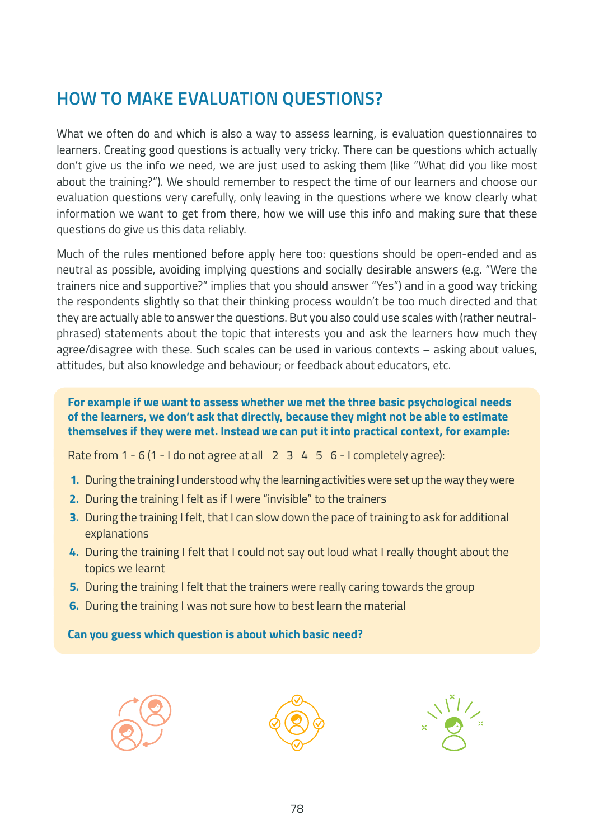## **HOW TO MAKE EVALUATION QUESTIONS?**

What we often do and which is also a way to assess learning, is evaluation questionnaires to learners. Creating good questions is actually very tricky. There can be questions which actually don't give us the info we need, we are just used to asking them (like "What did you like most about the training?"). We should remember to respect the time of our learners and choose our evaluation questions very carefully, only leaving in the questions where we know clearly what information we want to get from there, how we will use this info and making sure that these questions do give us this data reliably.

Much of the rules mentioned before apply here too: questions should be open-ended and as neutral as possible, avoiding implying questions and socially desirable answers (e.g. "Were the trainers nice and supportive?" implies that you should answer "Yes") and in a good way tricking the respondents slightly so that their thinking process wouldn't be too much directed and that they are actually able to answer the questions. But you also could use scales with (rather neutralphrased) statements about the topic that interests you and ask the learners how much they agree/disagree with these. Such scales can be used in various contexts – asking about values, attitudes, but also knowledge and behaviour; or feedback about educators, etc.

**For example if we want to assess whether we met the three basic psychological needs of the learners, we don't ask that directly, because they might not be able to estimate themselves if they were met. Instead we can put it into practical context, for example:**

Rate from  $1 - 6 (1 - 1$  do not agree at all  $2 \times 3 \times 4 \times 5 \times 6$  - I completely agree):

- **1.** During the training I understood why the learning activities were set up the way they were
- **2.** During the training I felt as if I were "invisible" to the trainers
- **3.** During the training I felt, that I can slow down the pace of training to ask for additional explanations
- **4.** During the training I felt that I could not say out loud what I really thought about the topics we learnt
- **5.** During the training I felt that the trainers were really caring towards the group
- **6.** During the training I was not sure how to best learn the material

**Can you guess which question is about which basic need?**





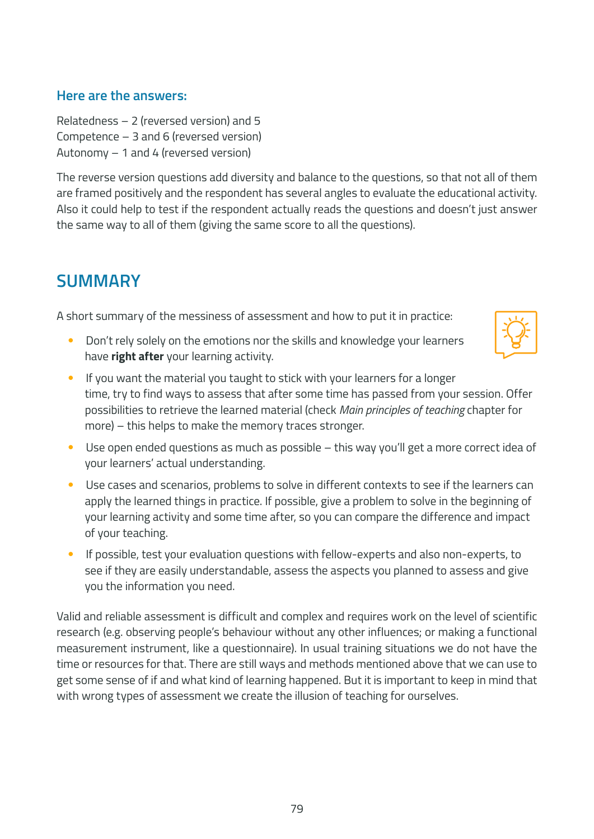#### **Here are the answers:**

Relatedness – 2 (reversed version) and 5 Competence – 3 and 6 (reversed version) Autonomy  $-1$  and 4 (reversed version)

The reverse version questions add diversity and balance to the questions, so that not all of them are framed positively and the respondent has several angles to evaluate the educational activity. Also it could help to test if the respondent actually reads the questions and doesn't just answer the same way to all of them (giving the same score to all the questions).

## **SUMMARY**

A short summary of the messiness of assessment and how to put it in practice:

• Don't rely solely on the emotions nor the skills and knowledge your learners have **right after** your learning activity.



- If you want the material you taught to stick with your learners for a longer time, try to find ways to assess that after some time has passed from your session. Offer possibilities to retrieve the learned material (check *Main principles of teaching* chapter for more) – this helps to make the memory traces stronger.
- Use open ended questions as much as possible this way you'll get a more correct idea of your learners' actual understanding.
- Use cases and scenarios, problems to solve in different contexts to see if the learners can apply the learned things in practice. If possible, give a problem to solve in the beginning of your learning activity and some time after, so you can compare the difference and impact of your teaching.
- If possible, test your evaluation questions with fellow-experts and also non-experts, to see if they are easily understandable, assess the aspects you planned to assess and give you the information you need.

Valid and reliable assessment is difficult and complex and requires work on the level of scientific research (e.g. observing people's behaviour without any other influences; or making a functional measurement instrument, like a questionnaire). In usual training situations we do not have the time or resources for that. There are still ways and methods mentioned above that we can use to get some sense of if and what kind of learning happened. But it is important to keep in mind that with wrong types of assessment we create the illusion of teaching for ourselves.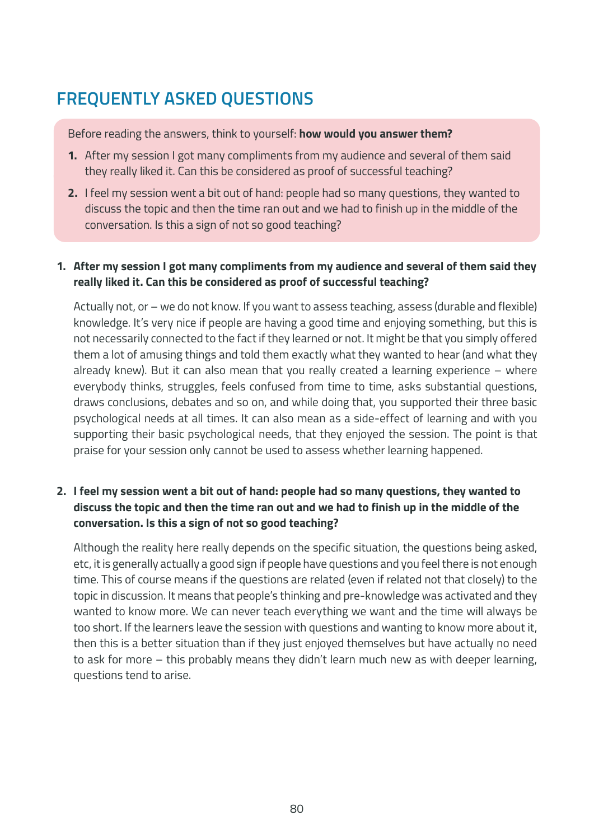# **FREQUENTLY ASKED QUESTIONS**

Before reading the answers, think to yourself: **how would you answer them?**

- **1.** After my session I got many compliments from my audience and several of them said they really liked it. Can this be considered as proof of successful teaching?
- **2.** I feel my session went a bit out of hand: people had so many questions, they wanted to discuss the topic and then the time ran out and we had to finish up in the middle of the conversation. Is this a sign of not so good teaching?

#### **1. After my session I got many compliments from my audience and several of them said they really liked it. Can this be considered as proof of successful teaching?**

Actually not, or – we do not know. If you want to assess teaching, assess (durable and flexible) knowledge. It's very nice if people are having a good time and enjoying something, but this is not necessarily connected to the fact if they learned or not. It might be that you simply offered them a lot of amusing things and told them exactly what they wanted to hear (and what they already knew). But it can also mean that you really created a learning experience – where everybody thinks, struggles, feels confused from time to time, asks substantial questions, draws conclusions, debates and so on, and while doing that, you supported their three basic psychological needs at all times. It can also mean as a side-effect of learning and with you supporting their basic psychological needs, that they enjoyed the session. The point is that praise for your session only cannot be used to assess whether learning happened.

#### **2. I feel my session went a bit out of hand: people had so many questions, they wanted to discuss the topic and then the time ran out and we had to finish up in the middle of the conversation. Is this a sign of not so good teaching?**

Although the reality here really depends on the specific situation, the questions being asked, etc, it is generally actually a good sign if people have questions and you feel there is not enough time. This of course means if the questions are related (even if related not that closely) to the topic in discussion. It means that people's thinking and pre-knowledge was activated and they wanted to know more. We can never teach everything we want and the time will always be too short. If the learners leave the session with questions and wanting to know more about it, then this is a better situation than if they just enjoyed themselves but have actually no need to ask for more – this probably means they didn't learn much new as with deeper learning, questions tend to arise.